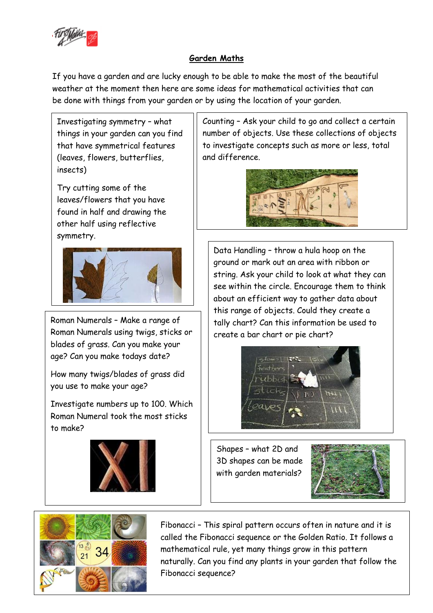

## **Garden Maths**

If you have a garden and are lucky enough to be able to make the most of the beautiful weather at the moment then here are some ideas for mathematical activities that can be done with things from your garden or by using the location of your garden.

Investigating symmetry – what things in your garden can you find that have symmetrical features (leaves, flowers, butterflies, insects)

Try cutting some of the leaves/flowers that you have found in half and drawing the other half using reflective symmetry.



Roman Numerals – Make a range of Roman Numerals using twigs, sticks or blades of grass. Can you make your age? Can you make todays date?

How many twigs/blades of grass did you use to make your age?

Investigate numbers up to 100. Which Roman Numeral took the most sticks to make?



Counting – Ask your child to go and collect a certain number of objects. Use these collections of objects to investigate concepts such as more or less, total and difference.



Data Handling – throw a hula hoop on the ground or mark out an area with ribbon or string. Ask your child to look at what they can see within the circle. Encourage them to think about an efficient way to gather data about this range of objects. Could they create a tally chart? Can this information be used to create a bar chart or pie chart?



Shapes – what 2D and 3D shapes can be made with garden materials?





Fibonacci – This spiral pattern occurs often in nature and it is called the Fibonacci sequence or the Golden Ratio. It follows a mathematical rule, yet many things grow in this pattern naturally. Can you find any plants in your garden that follow the Fibonacci sequence?